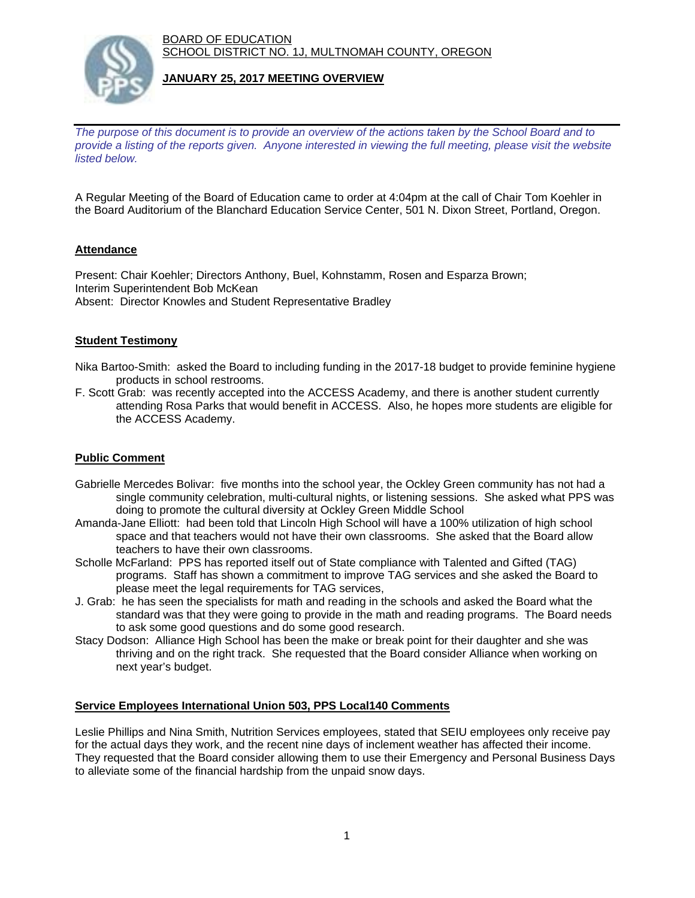BOARD OF EDUCATION SCHOOL DISTRICT NO. 1J, MULTNOMAH COUNTY, OREGON



## **JANUARY 25, 2017 MEETING OVERVIEW**

*The purpose of this document is to provide an overview of the actions taken by the School Board and to provide a listing of the reports given. Anyone interested in viewing the full meeting, please visit the website listed below.*

A Regular Meeting of the Board of Education came to order at 4:04pm at the call of Chair Tom Koehler in the Board Auditorium of the Blanchard Education Service Center, 501 N. Dixon Street, Portland, Oregon.

## **Attendance**

Present: Chair Koehler; Directors Anthony, Buel, Kohnstamm, Rosen and Esparza Brown; Interim Superintendent Bob McKean Absent: Director Knowles and Student Representative Bradley

### **Student Testimony**

- Nika Bartoo-Smith: asked the Board to including funding in the 2017-18 budget to provide feminine hygiene products in school restrooms.
- F. Scott Grab: was recently accepted into the ACCESS Academy, and there is another student currently attending Rosa Parks that would benefit in ACCESS. Also, he hopes more students are eligible for the ACCESS Academy.

## **Public Comment**

- Gabrielle Mercedes Bolivar: five months into the school year, the Ockley Green community has not had a single community celebration, multi-cultural nights, or listening sessions. She asked what PPS was doing to promote the cultural diversity at Ockley Green Middle School
- Amanda-Jane Elliott: had been told that Lincoln High School will have a 100% utilization of high school space and that teachers would not have their own classrooms. She asked that the Board allow teachers to have their own classrooms.
- Scholle McFarland: PPS has reported itself out of State compliance with Talented and Gifted (TAG) programs. Staff has shown a commitment to improve TAG services and she asked the Board to please meet the legal requirements for TAG services,
- J. Grab: he has seen the specialists for math and reading in the schools and asked the Board what the standard was that they were going to provide in the math and reading programs. The Board needs to ask some good questions and do some good research.
- Stacy Dodson: Alliance High School has been the make or break point for their daughter and she was thriving and on the right track. She requested that the Board consider Alliance when working on next year's budget.

#### **Service Employees International Union 503, PPS Local140 Comments**

Leslie Phillips and Nina Smith, Nutrition Services employees, stated that SEIU employees only receive pay for the actual days they work, and the recent nine days of inclement weather has affected their income. They requested that the Board consider allowing them to use their Emergency and Personal Business Days to alleviate some of the financial hardship from the unpaid snow days.